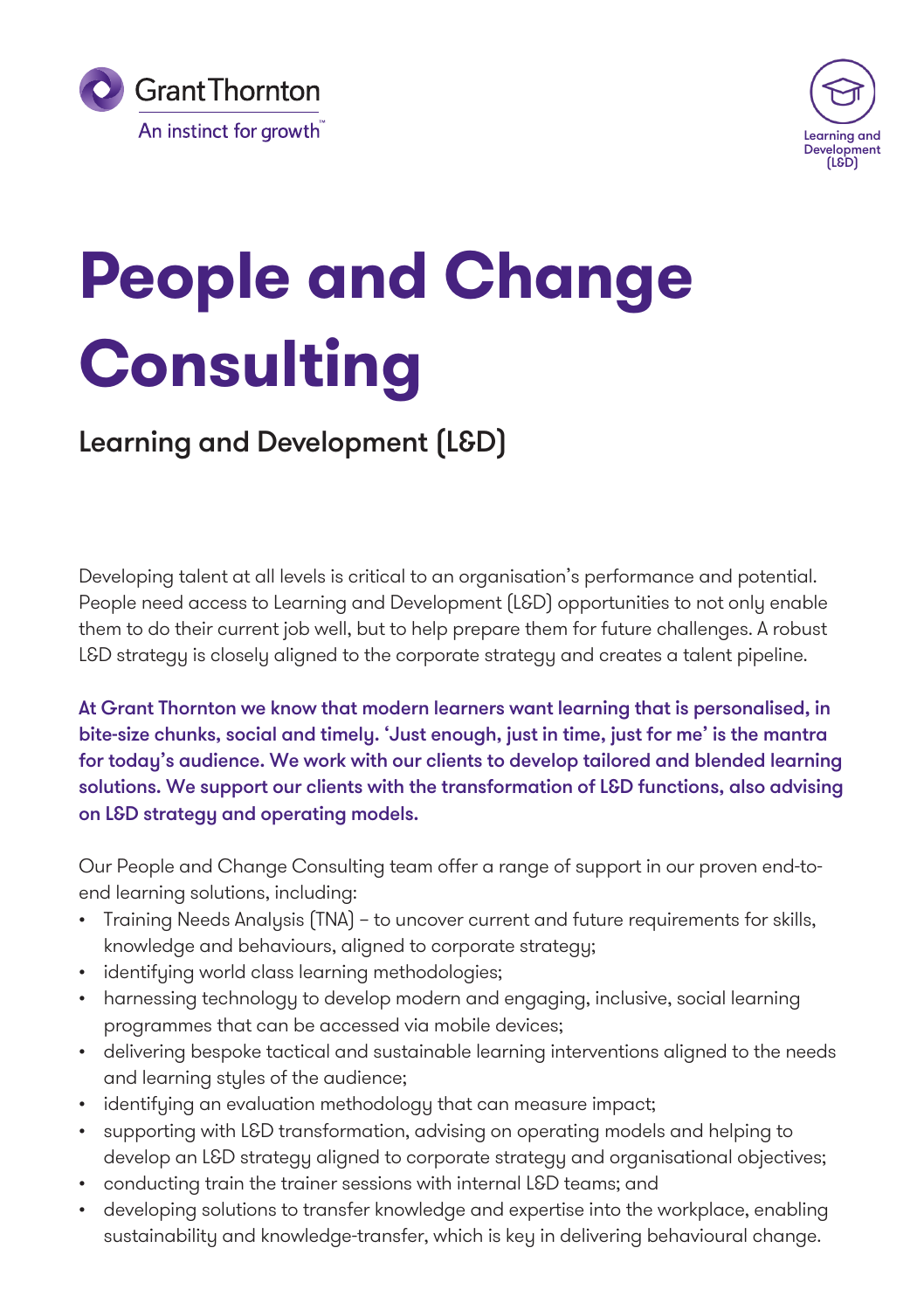



# **People and Change Consulting**

## Learning and Development (L&D)

Developing talent at all levels is critical to an organisation's performance and potential. People need access to Learning and Development (L&D) opportunities to not only enable them to do their current job well, but to help prepare them for future challenges. A robust L&D strategy is closely aligned to the corporate strategy and creates a talent pipeline.

At Grant Thornton we know that modern learners want learning that is personalised, in bite-size chunks, social and timely. 'Just enough, just in time, just for me' is the mantra for today's audience. We work with our clients to develop tailored and blended learning solutions. We support our clients with the transformation of L&D functions, also advising on L&D strategy and operating models.

Our People and Change Consulting team offer a range of support in our proven end-toend learning solutions, including:

- Training Needs Analysis (TNA) to uncover current and future requirements for skills, knowledge and behaviours, aligned to corporate strategy;
- identifying world class learning methodologies;
- harnessing technology to develop modern and engaging, inclusive, social learning programmes that can be accessed via mobile devices;
- delivering bespoke tactical and sustainable learning interventions aligned to the needs and learning styles of the audience;
- identifying an evaluation methodology that can measure impact;
- supporting with L&D transformation, advising on operating models and helping to develop an L&D strategy aligned to corporate strategy and organisational objectives;
- conducting train the trainer sessions with internal L&D teams; and
- developing solutions to transfer knowledge and expertise into the workplace, enabling sustainability and knowledge-transfer, which is key in delivering behavioural change.